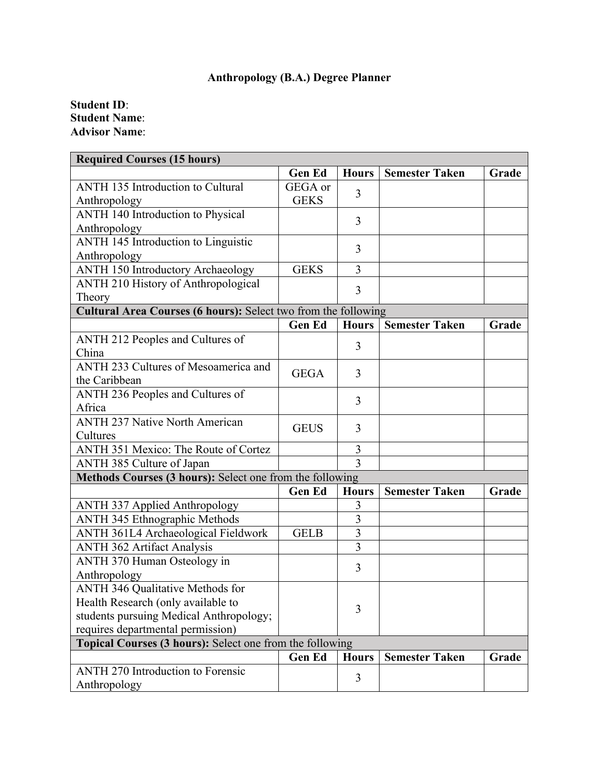## **Anthropology (B.A.) Degree Planner**

**Student ID**: **Student Name**: **Advisor Name**:

| <b>Required Courses (15 hours)</b>                             |               |                |                       |       |  |  |  |
|----------------------------------------------------------------|---------------|----------------|-----------------------|-------|--|--|--|
|                                                                | <b>Gen Ed</b> | <b>Hours</b>   | <b>Semester Taken</b> | Grade |  |  |  |
| <b>ANTH 135 Introduction to Cultural</b>                       | GEGA or       | 3              |                       |       |  |  |  |
| Anthropology                                                   | <b>GEKS</b>   |                |                       |       |  |  |  |
| ANTH 140 Introduction to Physical                              |               | 3              |                       |       |  |  |  |
| Anthropology                                                   |               |                |                       |       |  |  |  |
| ANTH 145 Introduction to Linguistic                            |               | 3              |                       |       |  |  |  |
| Anthropology                                                   |               |                |                       |       |  |  |  |
| <b>ANTH 150 Introductory Archaeology</b>                       | <b>GEKS</b>   | 3              |                       |       |  |  |  |
| ANTH 210 History of Anthropological                            |               | 3              |                       |       |  |  |  |
| Theory                                                         |               |                |                       |       |  |  |  |
| Cultural Area Courses (6 hours): Select two from the following |               |                |                       |       |  |  |  |
|                                                                | <b>Gen Ed</b> | <b>Hours</b>   | <b>Semester Taken</b> | Grade |  |  |  |
| ANTH 212 Peoples and Cultures of                               |               | 3              |                       |       |  |  |  |
| China                                                          |               |                |                       |       |  |  |  |
| ANTH 233 Cultures of Mesoamerica and                           | <b>GEGA</b>   | 3              |                       |       |  |  |  |
| the Caribbean                                                  |               |                |                       |       |  |  |  |
| ANTH 236 Peoples and Cultures of                               |               | 3              |                       |       |  |  |  |
| Africa                                                         |               |                |                       |       |  |  |  |
| <b>ANTH 237 Native North American</b>                          | <b>GEUS</b>   | 3              |                       |       |  |  |  |
| Cultures                                                       |               |                |                       |       |  |  |  |
| <b>ANTH 351 Mexico: The Route of Cortez</b>                    |               | 3              |                       |       |  |  |  |
| ANTH 385 Culture of Japan                                      |               | $\overline{3}$ |                       |       |  |  |  |
| Methods Courses (3 hours): Select one from the following       |               |                |                       |       |  |  |  |
|                                                                | <b>Gen Ed</b> | <b>Hours</b>   | <b>Semester Taken</b> | Grade |  |  |  |
| <b>ANTH 337 Applied Anthropology</b>                           |               | 3              |                       |       |  |  |  |
| ANTH 345 Ethnographic Methods                                  |               | $\overline{3}$ |                       |       |  |  |  |
| ANTH 361L4 Archaeological Fieldwork                            | <b>GELB</b>   | $\overline{3}$ |                       |       |  |  |  |
| ANTH 362 Artifact Analysis                                     |               | 3              |                       |       |  |  |  |
| ANTH 370 Human Osteology in                                    |               | 3              |                       |       |  |  |  |
| Anthropology                                                   |               |                |                       |       |  |  |  |
| <b>ANTH 346 Qualitative Methods for</b>                        |               |                |                       |       |  |  |  |
| Health Research (only available to                             |               | 3              |                       |       |  |  |  |
| students pursuing Medical Anthropology;                        |               |                |                       |       |  |  |  |
| requires departmental permission)                              |               |                |                       |       |  |  |  |
| Topical Courses (3 hours): Select one from the following       |               |                |                       |       |  |  |  |
|                                                                | <b>Gen Ed</b> | <b>Hours</b>   | <b>Semester Taken</b> | Grade |  |  |  |
| <b>ANTH 270 Introduction to Forensic</b>                       |               | 3              |                       |       |  |  |  |
| Anthropology                                                   |               |                |                       |       |  |  |  |